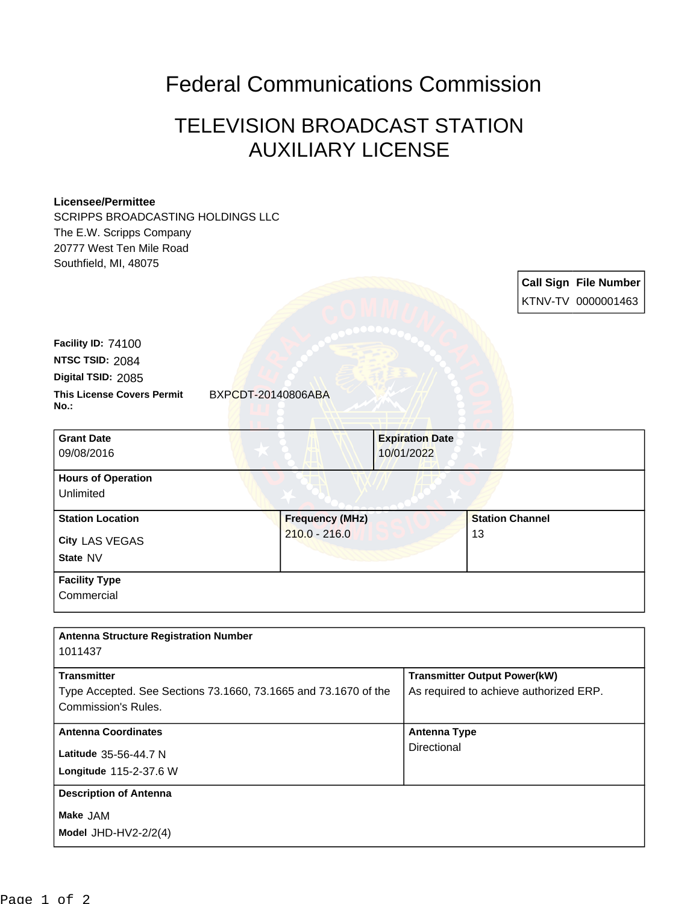## Federal Communications Commission

## TELEVISION BROADCAST STATION AUXILIARY LICENSE

## **Licensee/Permittee**

SCRIPPS BROADCASTING HOLDINGS LLC The E.W. Scripps Company 20777 West Ten Mile Road Southfield, MI, 48075

> **Call Sign File Number** KTNV-TV 0000001463

| <b>This License Covers Permit</b><br>No.: | BXPCDT-20140806ABA |
|-------------------------------------------|--------------------|
| Digital TSID: 2085                        |                    |
| NTSC TSID: 2084                           |                    |
| Facility ID: 74100                        |                    |
|                                           |                    |

| <b>Grant Date</b>                      | <b>Expiration Date</b> |                        |
|----------------------------------------|------------------------|------------------------|
| 09/08/2016                             | 10/01/2022             |                        |
| <b>Hours of Operation</b><br>Unlimited |                        |                        |
| <b>Station Location</b>                | <b>Frequency (MHz)</b> | <b>Station Channel</b> |
| City LAS VEGAS<br>State NV             | $210.0 - 216.0$        | 13                     |
| <b>Facility Type</b>                   |                        |                        |
| Commercial                             |                        |                        |

| <b>Antenna Structure Registration Number</b><br>1011437                                                      |                                                                               |
|--------------------------------------------------------------------------------------------------------------|-------------------------------------------------------------------------------|
| <b>Transmitter</b><br>Type Accepted. See Sections 73.1660, 73.1665 and 73.1670 of the<br>Commission's Rules. | <b>Transmitter Output Power(kW)</b><br>As required to achieve authorized ERP. |
| <b>Antenna Coordinates</b><br>Latitude 35-56-44.7 N<br>Longitude 115-2-37.6 W                                | <b>Antenna Type</b><br>Directional                                            |
| <b>Description of Antenna</b><br>Make JAM<br>Model JHD-HV2- $2/2(4)$                                         |                                                                               |